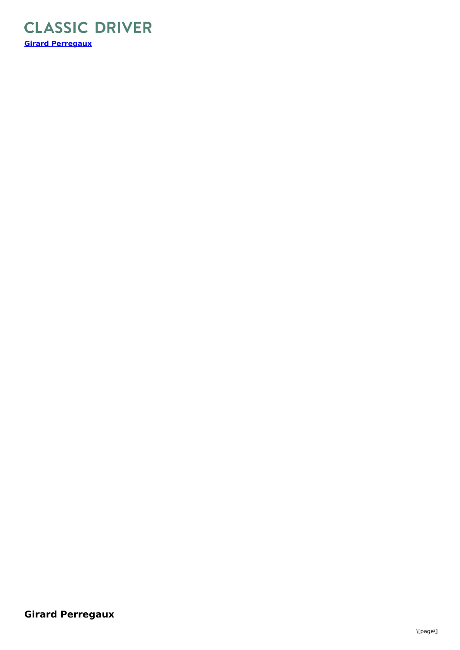